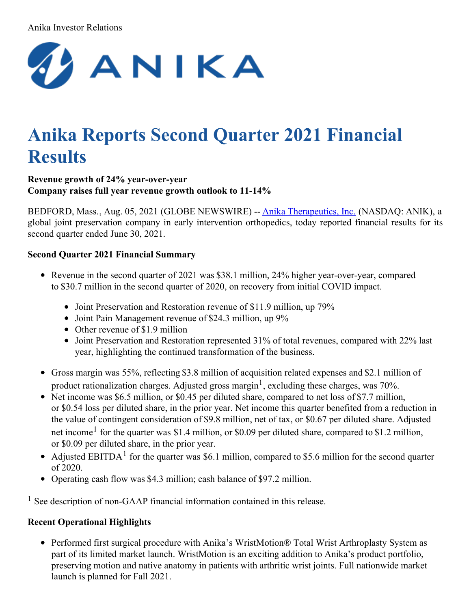#### Anika Investor Relations



# **Anika Reports Second Quarter 2021 Financial Results**

# **Revenue growth of 24% year-over-year Company raises full year revenue growth outlook to 11-14%**

BEDFORD, Mass., Aug. 05, 2021 (GLOBE NEWSWIRE) -- Anika [Therapeutics,](https://www.globenewswire.com/Tracker?data=eYlph_3CDrghjDKPy5_trItgKY_cCPY98gqdtIePQGVLrg2JGVXwTzW5DQlmizg6ZQz9r-AyTjARw_NaLPlk09qR4ImAMkvvj81-B3ogEM4=) Inc. (NASDAQ: ANIK), a global joint preservation company in early intervention orthopedics, today reported financial results for its second quarter ended June 30, 2021.

#### **Second Quarter 2021 Financial Summary**

- Revenue in the second quarter of 2021 was \$38.1 million, 24% higher year-over-year, compared to \$30.7 million in the second quarter of 2020, on recovery from initial COVID impact.
	- Joint Preservation and Restoration revenue of \$11.9 million, up 79%
	- Joint Pain Management revenue of \$24.3 million, up 9%
	- Other revenue of \$1.9 million
	- Joint Preservation and Restoration represented 31% of total revenues, compared with 22% last year, highlighting the continued transformation of the business.
- Gross margin was 55%, reflecting \$3.8 million of acquisition related expenses and \$2.1 million of product rationalization charges. Adjusted gross margin<sup>1</sup>, excluding these charges, was 70%.
- Net income was \$6.5 million, or \$0.45 per diluted share, compared to net loss of \$7.7 million, or \$0.54 loss per diluted share, in the prior year. Net income this quarter benefited from a reduction in the value of contingent consideration of \$9.8 million, net of tax, or \$0.67 per diluted share. Adjusted net income<sup>1</sup> for the quarter was \$1.4 million, or \$0.09 per diluted share, compared to \$1.2 million, or \$0.09 per diluted share, in the prior year.
- Adjusted EBITDA<sup>1</sup> for the quarter was \$6.1 million, compared to \$5.6 million for the second quarter of 2020.
- Operating cash flow was \$4.3 million; cash balance of \$97.2 million.

<sup>1</sup> See description of non-GAAP financial information contained in this release.

# **Recent Operational Highlights**

Performed first surgical procedure with Anika's WristMotion® Total Wrist Arthroplasty System as part of its limited market launch. WristMotion is an exciting addition to Anika's product portfolio, preserving motion and native anatomy in patients with arthritic wrist joints. Full nationwide market launch is planned for Fall 2021.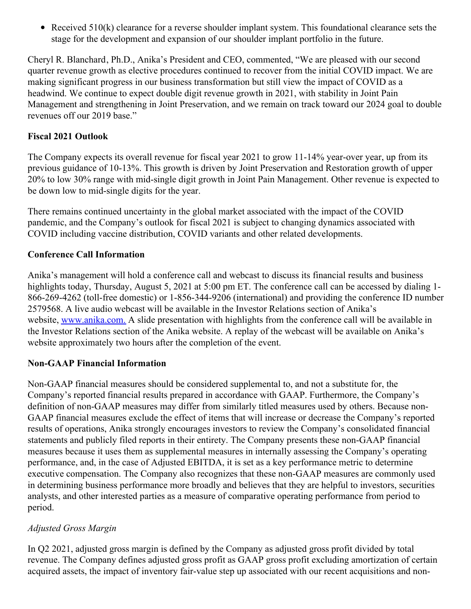• Received 510(k) clearance for a reverse shoulder implant system. This foundational clearance sets the stage for the development and expansion of our shoulder implant portfolio in the future.

Cheryl R. Blanchard, Ph.D., Anika's President and CEO, commented, "We are pleased with our second quarter revenue growth as elective procedures continued to recover from the initial COVID impact. We are making significant progress in our business transformation but still view the impact of COVID as a headwind. We continue to expect double digit revenue growth in 2021, with stability in Joint Pain Management and strengthening in Joint Preservation, and we remain on track toward our 2024 goal to double revenues off our 2019 base."

#### **Fiscal 2021 Outlook**

The Company expects its overall revenue for fiscal year 2021 to grow 11-14% year-over year, up from its previous guidance of 10-13%. This growth is driven by Joint Preservation and Restoration growth of upper 20% to low 30% range with mid-single digit growth in Joint Pain Management. Other revenue is expected to be down low to mid-single digits for the year.

There remains continued uncertainty in the global market associated with the impact of the COVID pandemic, and the Company's outlook for fiscal 2021 is subject to changing dynamics associated with COVID including vaccine distribution, COVID variants and other related developments.

#### **Conference Call Information**

Anika's management will hold a conference call and webcast to discuss its financial results and business highlights today, Thursday, August 5, 2021 at 5:00 pm ET. The conference call can be accessed by dialing 1-866-269-4262 (toll-free domestic) or 1-856-344-9206 (international) and providing the conference ID number 2579568. A live audio webcast will be available in the Investor Relations section of Anika's website, [www.anika.com](https://www.globenewswire.com/Tracker?data=BWop--s7f7D8kUNqtUJkSqRFPX8RjOhr0NJ4ofXY4-OzZmvQHGWCBa1ev-5B05XvXFoD_FR0CW4juXCsY0Yskg==)[.](https://www.globenewswire.com/Tracker?data=IUh5uIIXcYwCBOB0HJfXJ8r8EKPXp7aJKdUVY4Fp0nyxghG7bK6Ey2V1ePx1laCu4Ulj6hpIRkmxCUEDYx380deWGudbUyIPDmGFZg0nJZ8=) A slide presentation with highlights from the conference call will be available in the Investor Relations section of the Anika website. A replay of the webcast will be available on Anika's website approximately two hours after the completion of the event.

# **Non-GAAP Financial Information**

Non-GAAP financial measures should be considered supplemental to, and not a substitute for, the Company's reported financial results prepared in accordance with GAAP. Furthermore, the Company's definition of non-GAAP measures may differ from similarly titled measures used by others. Because non-GAAP financial measures exclude the effect of items that will increase or decrease the Company's reported results of operations, Anika strongly encourages investors to review the Company's consolidated financial statements and publicly filed reports in their entirety. The Company presents these non-GAAP financial measures because it uses them as supplemental measures in internally assessing the Company's operating performance, and, in the case of Adjusted EBITDA, it is set as a key performance metric to determine executive compensation. The Company also recognizes that these non-GAAP measures are commonly used in determining business performance more broadly and believes that they are helpful to investors, securities analysts, and other interested parties as a measure of comparative operating performance from period to period.

# *Adjusted Gross Margin*

In Q2 2021, adjusted gross margin is defined by the Company as adjusted gross profit divided by total revenue. The Company defines adjusted gross profit as GAAP gross profit excluding amortization of certain acquired assets, the impact of inventory fair-value step up associated with our recent acquisitions and non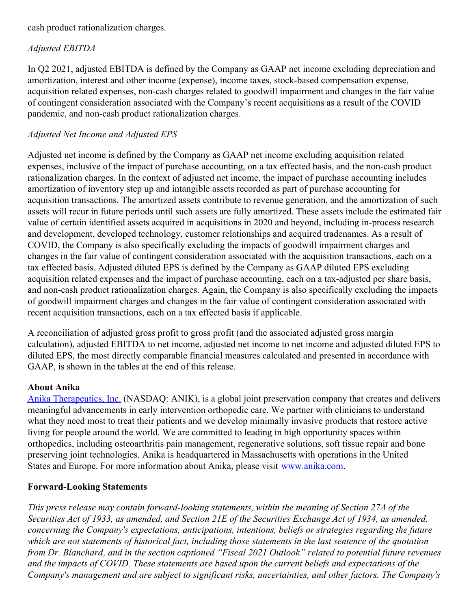cash product rationalization charges.

# *Adjusted EBITDA*

In Q2 2021, adjusted EBITDA is defined by the Company as GAAP net income excluding depreciation and amortization, interest and other income (expense), income taxes, stock-based compensation expense, acquisition related expenses, non-cash charges related to goodwill impairment and changes in the fair value of contingent consideration associated with the Company's recent acquisitions as a result of the COVID pandemic, and non-cash product rationalization charges.

# *Adjusted Net Income and Adjusted EPS*

Adjusted net income is defined by the Company as GAAP net income excluding acquisition related expenses, inclusive of the impact of purchase accounting, on a tax effected basis, and the non-cash product rationalization charges. In the context of adjusted net income, the impact of purchase accounting includes amortization of inventory step up and intangible assets recorded as part of purchase accounting for acquisition transactions. The amortized assets contribute to revenue generation, and the amortization of such assets will recur in future periods until such assets are fully amortized. These assets include the estimated fair value of certain identified assets acquired in acquisitions in 2020 and beyond, including in-process research and development, developed technology, customer relationships and acquired tradenames. As a result of COVID, the Company is also specifically excluding the impacts of goodwill impairment charges and changes in the fair value of contingent consideration associated with the acquisition transactions, each on a tax effected basis. Adjusted diluted EPS is defined by the Company as GAAP diluted EPS excluding acquisition related expenses and the impact of purchase accounting, each on a tax-adjusted per share basis, and non-cash product rationalization charges. Again, the Company is also specifically excluding the impacts of goodwill impairment charges and changes in the fair value of contingent consideration associated with recent acquisition transactions, each on a tax effected basis if applicable.

A reconciliation of adjusted gross profit to gross profit (and the associated adjusted gross margin calculation), adjusted EBITDA to net income, adjusted net income to net income and adjusted diluted EPS to diluted EPS, the most directly comparable financial measures calculated and presented in accordance with GAAP, is shown in the tables at the end of this release.

# **About Anika**

Anika [Therapeutics,](https://www.globenewswire.com/Tracker?data=eYlph_3CDrghjDKPy5_trItgKY_cCPY98gqdtIePQGUtwtY_GdI4m_c9hDV15b_7EmOA1hdsSzBDOIG1UNUkGTzKguVYAG7erzjYPVoRi9w=) Inc. (NASDAQ: ANIK), is a global joint preservation company that creates and delivers meaningful advancements in early intervention orthopedic care. We partner with clinicians to understand what they need most to treat their patients and we develop minimally invasive products that restore active living for people around the world. We are committed to leading in high opportunity spaces within orthopedics, including osteoarthritis pain management, regenerative solutions, soft tissue repair and bone preserving joint technologies. Anika is headquartered in Massachusetts with operations in the United States and Europe. For more information about Anika, please visit [www.anika.com](https://www.globenewswire.com/Tracker?data=BWop--s7f7D8kUNqtUJkSr-OSOUma3xHmp1REdWCq-cx7NEX2ntChpXkuYoautfI78gtVtPrcA5MblDFYe9pQw==).

# **Forward-Looking Statements**

*This press release may contain forward-looking statements, within the meaning of Section 27A of the* Securities Act of 1933, as amended, and Section 21E of the Securities Exchange Act of 1934, as amended, *concerning the Company's expectations, anticipations, intentions, beliefs or strategies regarding the future* which are not statements of historical fact, including those statements in the last sentence of the quotation *from Dr. Blanchard, and in the section captioned "Fiscal 2021 Outlook" related to potential future revenues and the impacts of COVID. These statements are based upon the current beliefs and expectations of the Company's management and are subject to significant risks, uncertainties, and other factors. The Company's*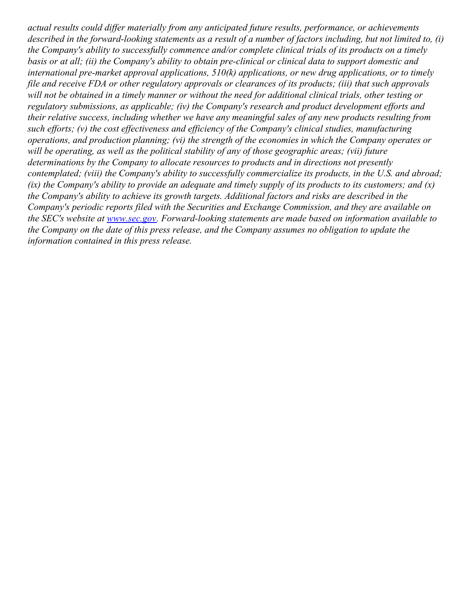*actual results could dif er materially from any anticipated future results, performance, or achievements* described in the forward-looking statements as a result of a number of factors including, but not limited to, (i) *the Company's ability to successfully commence and/or complete clinical trials of its products on a timely* basis or at all; (ii) the Company's ability to obtain pre-clinical or clinical data to support domestic and *international pre-market approval applications, 510(k) applications, or new drug applications, or to timely* file and receive FDA or other regulatory approvals or clearances of its products; (iii) that such approvals will not be obtained in a timely manner or without the need for additional clinical trials, other testing or *regulatory submissions, as applicable; (iv) the Company's research and product development ef orts and their relative success, including whether we have any meaningful sales of any new products resulting from such ef orts; (v) the cost ef ectiveness and ef iciency of the Company's clinical studies, manufacturing operations, and production planning; (vi) the strength of the economies in which the Company operates or will be operating, as well as the political stability of any of those geographic areas; (vii) future determinations by the Company to allocate resources to products and in directions not presently contemplated; (viii) the Company's ability to successfully commercialize its products, in the U.S. and abroad;* (ix) the Company's ability to provide an adequate and timely supply of its products to its customers; and  $(x)$ *the Company's ability to achieve its growth targets. Additional factors and risks are described in the Company's periodic reports filed with the Securities and Exchange Commission, and they are available on the SEC's website at [www.sec.gov](https://www.globenewswire.com/Tracker?data=d1Et35z6ZVrFTNkv32GnaBan5lssn_1lTWha84moGSdYgPyJVAs8Mkmqkn_adTrXXVZ5V7tTKWKziVlBzt37YQ==). Forward-looking statements are made based on information available to the Company on the date of this press release, and the Company assumes no obligation to update the information contained in this press release.*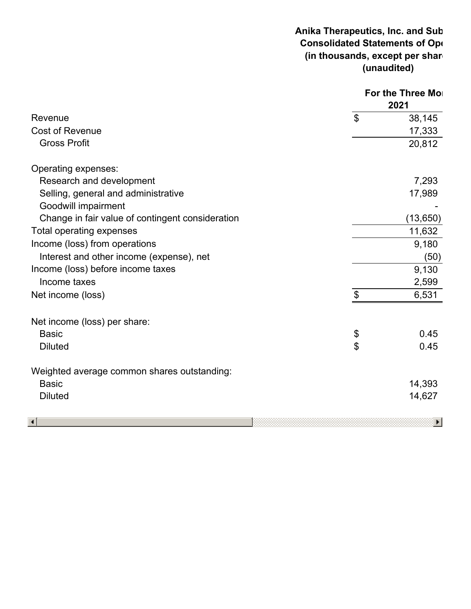# **Anika Therapeutics, Inc. and Sub Consolidated Statements of Ope (in thousands, except per share data) (unaudited)**

|                                                  |                           | For the Three Mor |
|--------------------------------------------------|---------------------------|-------------------|
|                                                  | 2021                      |                   |
| Revenue                                          | $\boldsymbol{\mathsf{S}}$ | 38,145            |
| <b>Cost of Revenue</b>                           |                           | 17,333            |
| <b>Gross Profit</b>                              |                           | 20,812            |
| Operating expenses:                              |                           |                   |
| Research and development                         |                           | 7,293             |
| Selling, general and administrative              |                           | 17,989            |
| Goodwill impairment                              |                           |                   |
| Change in fair value of contingent consideration |                           | (13,650)          |
| Total operating expenses                         |                           | 11,632            |
| Income (loss) from operations                    |                           | 9,180             |
| Interest and other income (expense), net         |                           | (50)              |
| Income (loss) before income taxes                |                           | 9,130             |
| Income taxes                                     |                           | 2,599             |
| Net income (loss)                                | \$                        | 6,531             |
| Net income (loss) per share:                     |                           |                   |
| <b>Basic</b>                                     | \$                        | 0.45              |
| <b>Diluted</b>                                   | \$                        | 0.45              |
| Weighted average common shares outstanding:      |                           |                   |
| <b>Basic</b>                                     |                           | 14,393            |
| <b>Diluted</b>                                   |                           | 14,627            |
| $\blacktriangleleft$                             |                           | ▶                 |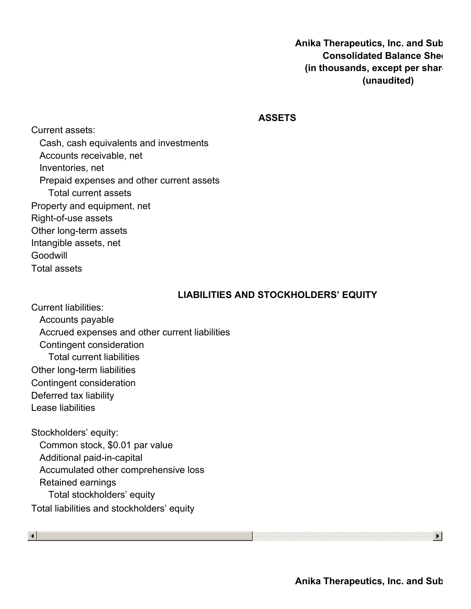**Anika Therapeutics, Inc. and Sub Consolidated Balance Sheet (in thousands, except per share (unaudited)**

#### **ASSETS**

Current assets:

Cash, cash equivalents and investments Accounts receivable, net Inventories, net Prepaid expenses and other current assets Total current assets Property and equipment, net Right-of-use assets Other long-term assets Intangible assets, net Goodwill Total assets

#### **LIABILITIES AND STOCKHOLDERS' EQUITY**

Current liabilities:

Accounts payable Accrued expenses and other current liabilities Contingent consideration Total current liabilities Other long-term liabilities Contingent consideration Deferred tax liability Lease liabilities

Stockholders' equity: Common stock, \$0.01 par value Additional paid-in-capital Accumulated other comprehensive loss Retained earnings Total stockholders' equity Total liabilities and stockholders' equity

 $\blacktriangleright$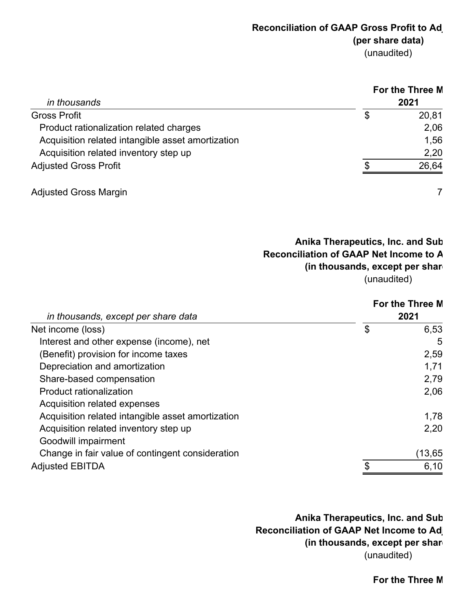# **Reconciliation of GAAP Gross Profit to Adj**

**(per share data)**

(unaudited)

| in thousands                                      | For the Three M<br>2021 |       |
|---------------------------------------------------|-------------------------|-------|
| <b>Gross Profit</b>                               |                         | 20,81 |
| Product rationalization related charges           |                         | 2,06  |
| Acquisition related intangible asset amortization |                         | 1,56  |
| Acquisition related inventory step up             |                         | 2,20  |
| <b>Adjusted Gross Profit</b>                      |                         | 26,64 |
| <b>Adjusted Gross Margin</b>                      |                         |       |

**Anika Therapeutics, Inc. and Sub Reconciliation of GAAP Net Income to A (in thousands, except per share data)** (unaudited)

| in thousands, except per share data               | For the Three M<br>2021 |          |
|---------------------------------------------------|-------------------------|----------|
| Net income (loss)                                 | \$                      | 6,53     |
| Interest and other expense (income), net          |                         | 5        |
| (Benefit) provision for income taxes              |                         | 2,59     |
| Depreciation and amortization                     |                         | 1,71     |
| Share-based compensation                          |                         | 2,79     |
| Product rationalization                           |                         | 2,06     |
| Acquisition related expenses                      |                         |          |
| Acquisition related intangible asset amortization |                         | 1,78     |
| Acquisition related inventory step up             |                         | 2,20     |
| Goodwill impairment                               |                         |          |
| Change in fair value of contingent consideration  |                         | (13, 65) |
| <b>Adjusted EBITDA</b>                            |                         | 6,10     |

**Anika Therapeutics, Inc. and Sub Reconciliation of GAAP Net Income to Adj**  (in thousands, except per share (unaudited)